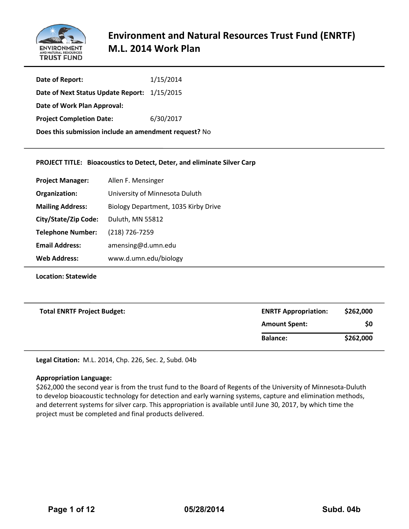

| Date of Report:                                       | 1/15/2014 |  |
|-------------------------------------------------------|-----------|--|
| Date of Next Status Update Report: 1/15/2015          |           |  |
| Date of Work Plan Approval:                           |           |  |
| <b>Project Completion Date:</b>                       | 6/30/2017 |  |
| Does this submission include an amendment request? No |           |  |

#### **PROJECT TITLE: Bioacoustics to Detect, Deter, and eliminate Silver Carp**

| <b>Project Manager:</b>  | Allen F. Mensinger                   |
|--------------------------|--------------------------------------|
| Organization:            | University of Minnesota Duluth       |
| <b>Mailing Address:</b>  | Biology Department, 1035 Kirby Drive |
| City/State/Zip Code:     | Duluth, MN 55812                     |
| <b>Telephone Number:</b> | (218) 726-7259                       |
| <b>Email Address:</b>    | amensing@d.umn.edu                   |
| <b>Web Address:</b>      | www.d.umn.edu/biology                |

**Location: Statewide**

| <b>Total ENRTF Project Budget:</b> | <b>ENRTF Appropriation:</b> | \$262,000 |
|------------------------------------|-----------------------------|-----------|
|                                    | <b>Amount Spent:</b>        | \$0       |
|                                    | <b>Balance:</b>             | \$262,000 |
|                                    |                             |           |

**Legal Citation:** M.L. 2014, Chp. 226, Sec. 2, Subd. 04b

#### **Appropriation Language:**

\$262,000 the second year is from the trust fund to the Board of Regents of the University of Minnesota-Duluth to develop bioacoustic technology for detection and early warning systems, capture and elimination methods, and deterrent systems for silver carp. This appropriation is available until June 30, 2017, by which time the project must be completed and final products delivered.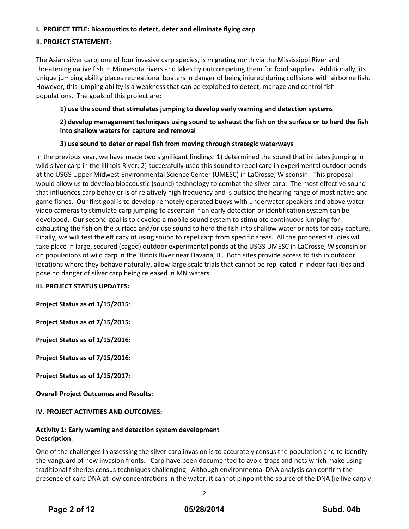# **I. PROJECT TITLE: Bioacoustics to detect, deter and eliminate flying carp**

# **II. PROJECT STATEMENT:**

The Asian silver carp, one of four invasive carp species, is migrating north via the Mississippi River and threatening native fish in Minnesota rivers and lakes by outcompeting them for food supplies. Additionally, its unique jumping ability places recreational boaters in danger of being injured during collisions with airborne fish. However, this jumping ability is a weakness that can be exploited to detect, manage and control fish populations. The goals of this project are:

# **1) use the sound that stimulates jumping to develop early warning and detection systems**

# **2) develop management techniques using sound to exhaust the fish on the surface or to herd the fish into shallow waters for capture and removal**

# **3) use sound to deter or repel fish from moving through strategic waterways**

In the previous year, we have made two significant findings: 1) determined the sound that initiates jumping in wild silver carp in the Illinois River; 2) successfully used this sound to repel carp in experimental outdoor ponds at the USGS Upper Midwest Environmental Science Center (UMESC) in LaCrosse, Wisconsin. This proposal would allow us to develop bioacoustic (sound) technology to combat the silver carp. The most effective sound that influences carp behavior is of relatively high frequency and is outside the hearing range of most native and game fishes. Our first goal is to develop remotely operated buoys with underwater speakers and above water video cameras to stimulate carp jumping to ascertain if an early detection or identification system can be developed. Our second goal is to develop a mobile sound system to stimulate continuous jumping for exhausting the fish on the surface and/or use sound to herd the fish into shallow water or nets for easy capture. Finally, we will test the efficacy of using sound to repel carp from specific areas. All the proposed studies will take place in large, secured (caged) outdoor experimental ponds at the USGS UMESC in LaCrosse, Wisconsin or on populations of wild carp in the Illinois River near Havana, IL. Both sites provide access to fish in outdoor locations where they behave naturally, allow large scale trials that cannot be replicated in indoor facilities and pose no danger of silver carp being released in MN waters.

# **III. PROJECT STATUS UPDATES:**

**Project Status as of 1/15/2015**:

**Project Status as of 7/15/2015***:*

**Project Status as of 1/15/2016:** 

**Project Status as of 7/15/2016:**

**Project Status as of 1/15/2017:**

**Overall Project Outcomes and Results:**

# **IV. PROJECT ACTIVITIES AND OUTCOMES:**

#### **Activity 1: Early warning and detection system development Description**:

One of the challenges in assessing the silver carp invasion is to accurately census the population and to identify the vanguard of new invasion fronts. Carp have been documented to avoid traps and nets which make using traditional fisheries census techniques challenging. Although environmental DNA analysis can confirm the presence of carp DNA at low concentrations in the water, it cannot pinpoint the source of the DNA (ie live carp v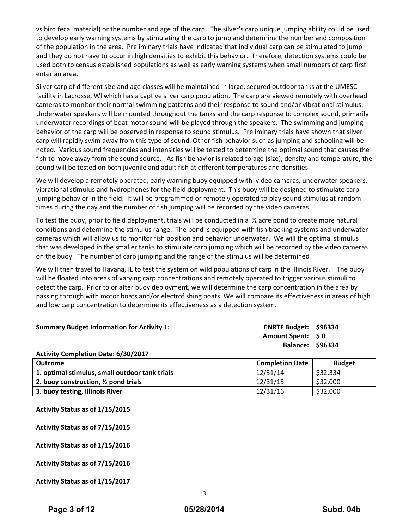vs bird fecal material) or the number and age of the carp. The silver's carp unique jumping ability could be used to develop early warning systems by stimulating the carp to jump and determine the number and composition of the population in the area. Preliminary trials have indicated that individual carp can be stimulated to jump and they do not have to occur in high densities to exhibit this behavior. Therefore, detection systems could be used both to census established populations as well as early warning systems when small numbers of carp first enter an area.

Silver carp of different size and age classes will be maintained in large, secured outdoor tanks at the UMESC facility in Lacrosse, WI which has a captive silver carp population. The carp are viewed remotely with overhead cameras to monitor their normal swimming patterns and their response to sound and/or vibrational stimulus. Underwater speakers will be mounted throughout the tanks and the carp response to complex sound, primarily underwater recordings of boat motor sound will be played through the speakers. The swimming and jumping behavior of the carp will be observed in response to sound stimulus. Preliminary trials have shown that silver carp will rapidly swim away from this type of sound. Other fish behavior such as jumping and schooling will be noted. Various sound frequencies and intensities will be tested to determine the optimal sound that causes the fish to move away from the sound source. As fish behavior is related to age (size), density and temperature, the sound will be tested on both juvenile and adult fish at different temperatures and densities.

We will develop a remotely operated, early warning buoy equipped with video cameras, underwater speakers, vibrational stimulus and hydrophones for the field deployment. This buoy will be designed to stimulate carp jumping behavior in the field. It will be programmed or remotely operated to play sound stimulus at random times during the day and the number of fish jumping will be recorded by the video cameras.

To test the buoy, prior to field deployment, trials will be conducted in a ½ acre pond to create more natural conditions and determine the stimulus range. The pond is equipped with fish tracking systems and underwater cameras which will allow us to monitor fish position and behavior underwater. We will the optimal stimulus that was developed in the smaller tanks to stimulate carp jumping which will be recorded by the video cameras on the buoy. The number of carp jumping and the range of the stimulus will be determined

We will then travel to Havana, IL to test the system on wild populations of carp in the Illinois River. The buoy will be floated into areas of varying carp concentrations and remotely operated to trigger various stimuli to detect the carp. Prior to or after buoy deployment, we will determine the carp concentration in the area by passing through with motor boats and/or electrofishing boats. We will compare its effectiveness in areas of high and low carp concentration to determine its effectiveness as a detection system.

| <b>Summary Budget Information for Activity 1:</b> | ENRTF Budget: \$96334   |  |
|---------------------------------------------------|-------------------------|--|
|                                                   | <b>Amount Spent: SO</b> |  |
|                                                   | <b>Balance: \$96334</b> |  |
| Activity Completion Date: 6/30/2017               |                         |  |

| Outcome                                         | <b>Completion Date</b> | <b>Budget</b> |
|-------------------------------------------------|------------------------|---------------|
| 1. optimal stimulus, small outdoor tank trials  | 12/31/14               | \$32,334      |
| 2. buoy construction, $\frac{1}{2}$ pond trials | 12/31/15               | \$32,000      |
| 3. buoy testing, Illinois River                 | 12/31/16               | \$32,000      |

| Activity Status as of 1/15/2015 |  |  |  |  |
|---------------------------------|--|--|--|--|
|---------------------------------|--|--|--|--|

**Activity Status as of 7/15/2015**

**Activity Status as of 1/15/2016**

**Activity Status as of 7/15/2016**

**Activity Status as of 1/15/2017**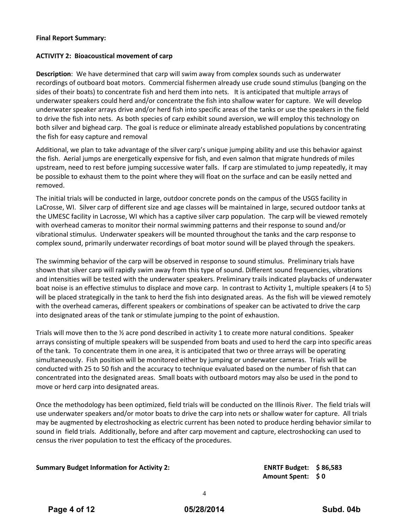#### **Final Report Summary:**

#### **ACTIVITY 2: Bioacoustical movement of carp**

**Description**: We have determined that carp will swim away from complex sounds such as underwater recordings of outboard boat motors. Commercial fishermen already use crude sound stimulus (banging on the sides of their boats) to concentrate fish and herd them into nets. It is anticipated that multiple arrays of underwater speakers could herd and/or concentrate the fish into shallow water for capture. We will develop underwater speaker arrays drive and/or herd fish into specific areas of the tanks or use the speakers in the field to drive the fish into nets. As both species of carp exhibit sound aversion, we will employ this technology on both silver and bighead carp. The goal is reduce or eliminate already established populations by concentrating the fish for easy capture and removal

Additional, we plan to take advantage of the silver carp's unique jumping ability and use this behavior against the fish. Aerial jumps are energetically expensive for fish, and even salmon that migrate hundreds of miles upstream, need to rest before jumping successive water falls. If carp are stimulated to jump repeatedly, it may be possible to exhaust them to the point where they will float on the surface and can be easily netted and removed.

The initial trials will be conducted in large, outdoor concrete ponds on the campus of the USGS facility in LaCrosse, WI. Silver carp of different size and age classes will be maintained in large, secured outdoor tanks at the UMESC facility in Lacrosse, WI which has a captive silver carp population. The carp will be viewed remotely with overhead cameras to monitor their normal swimming patterns and their response to sound and/or vibrational stimulus. Underwater speakers will be mounted throughout the tanks and the carp response to complex sound, primarily underwater recordings of boat motor sound will be played through the speakers.

The swimming behavior of the carp will be observed in response to sound stimulus. Preliminary trials have shown that silver carp will rapidly swim away from this type of sound. Different sound frequencies, vibrations and intensities will be tested with the underwater speakers. Preliminary trails indicated playbacks of underwater boat noise is an effective stimulus to displace and move carp. In contrast to Activity 1, multiple speakers (4 to 5) will be placed strategically in the tank to herd the fish into designated areas. As the fish will be viewed remotely with the overhead cameras, different speakers or combinations of speaker can be activated to drive the carp into designated areas of the tank or stimulate jumping to the point of exhaustion.

Trials will move then to the ½ acre pond described in activity 1 to create more natural conditions. Speaker arrays consisting of multiple speakers will be suspended from boats and used to herd the carp into specific areas of the tank. To concentrate them in one area, it is anticipated that two or three arrays will be operating simultaneously. Fish position will be monitored either by jumping or underwater cameras. Trials will be conducted with 25 to 50 fish and the accuracy to technique evaluated based on the number of fish that can concentrated into the designated areas. Small boats with outboard motors may also be used in the pond to move or herd carp into designated areas.

Once the methodology has been optimized, field trials will be conducted on the Illinois River. The field trials will use underwater speakers and/or motor boats to drive the carp into nets or shallow water for capture. All trials may be augmented by electroshocking as electric current has been noted to produce herding behavior similar to sound in field trials. Additionally, before and after carp movement and capture, electroshocking can used to census the river population to test the efficacy of the procedures.

**Summary Budget Information for Activity 2: ENRTF Budget: \$ 86,583**

**Amount Spent: \$ 0**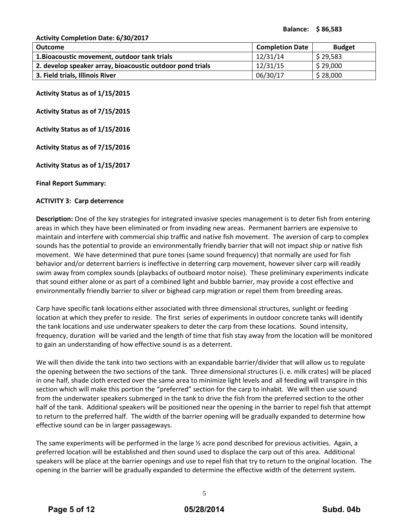**Activity Completion Date: 6/30/2017**

| Outcome                                                   | <b>Completion Date</b> | <b>Budget</b> |
|-----------------------------------------------------------|------------------------|---------------|
| 1. Bioacoustic movement, outdoor tank trials              | 12/31/14               | \$29,583      |
| 2. develop speaker array, bioacoustic outdoor pond trials | 12/31/15               | \$29,000      |
| 3. Field trials, Illinois River                           | 06/30/17               | \$28,000      |

**Activity Status as of 1/15/2015**

**Activity Status as of 7/15/2015**

**Activity Status as of 1/15/2016**

**Activity Status as of 7/15/2016**

**Activity Status as of 1/15/2017**

**Final Report Summary:**

#### **ACTIVITY 3: Carp deterrence**

**Description:** One of the key strategies for integrated invasive species management is to deter fish from entering areas in which they have been eliminated or from invading new areas. Permanent barriers are expensive to maintain and interfere with commercial ship traffic and native fish movement. The aversion of carp to complex sounds has the potential to provide an environmentally friendly barrier that will not impact ship or native fish movement. We have determined that pure tones (same sound frequency) that normally are used for fish behavior and/or deterrent barriers is ineffective in deterring carp movement, however silver carp will readily swim away from complex sounds (playbacks of outboard motor noise). These preliminary experiments indicate that sound either alone or as part of a combined light and bubble barrier, may provide a cost effective and environmentally friendly barrier to silver or bighead carp migration or repel them from breeding areas.

Carp have specific tank locations either associated with three dimensional structures, sunlight or feeding location at which they prefer to reside. The first series of experiments in outdoor concrete tanks will identify the tank locations and use underwater speakers to deter the carp from these locations. Sound intensity, frequency, duration will be varied and the length of time that fish stay away from the location will be monitored to gain an understanding of how effective sound is as a deterrent.

We will then divide the tank into two sections with an expandable barrier/divider that will allow us to regulate the opening between the two sections of the tank. Three dimensional structures (i. e. milk crates) will be placed in one half, shade cloth erected over the same area to minimize light levels and all feeding will transpire in this section which will make this portion the "preferred" section for the carp to inhabit. We will then use sound from the underwater speakers submerged in the tank to drive the fish from the preferred section to the other half of the tank. Additional speakers will be positioned near the opening in the barrier to repel fish that attempt to return to the preferred half. The width of the barrier opening will be gradually expanded to determine how effective sound can be in larger passageways.

The same experiments will be performed in the large  $\frac{1}{2}$  acre pond described for previous activities. Again, a preferred location will be established and then sound used to displace the carp out of this area. Additional speakers will be place at the barrier openings and use to repel fish that try to return to the original location. The opening in the barrier will be gradually expanded to determine the effective width of the deterrent system.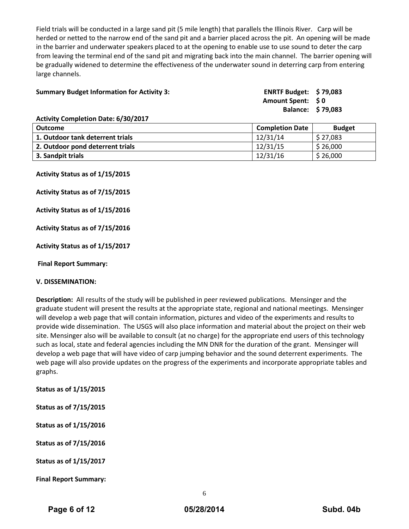Field trials will be conducted in a large sand pit (5 mile length) that parallels the Illinois River. Carp will be herded or netted to the narrow end of the sand pit and a barrier placed across the pit. An opening will be made in the barrier and underwater speakers placed to at the opening to enable use to use sound to deter the carp from leaving the terminal end of the sand pit and migrating back into the main channel. The barrier opening will be gradually widened to determine the effectiveness of the underwater sound in deterring carp from entering large channels.

| <b>Summary Budget Information for Activity 3:</b> | ENRTF Budget: $$79,083$ |  |
|---------------------------------------------------|-------------------------|--|
|                                                   |                         |  |
|                                                   | Amount Spent: \$0       |  |
|                                                   | Balance: \$79,083       |  |
| Activity Completion Date: 6/20/2017               |                         |  |

| <b>Activity Completion Date: 6/30/2017</b> |                        |               |
|--------------------------------------------|------------------------|---------------|
| <b>Outcome</b>                             | <b>Completion Date</b> | <b>Budget</b> |
| 1. Outdoor tank deterrent trials           | 12/31/14               | \$27,083      |
| 2. Outdoor pond deterrent trials           | 12/31/15               | \$26,000      |
| 3. Sandpit trials                          | 12/31/16               | \$26,000      |

**Activity Status as of 1/15/2015**

**Activity Status as of 7/15/2015**

**Activity Status as of 1/15/2016**

**Activity Status as of 7/15/2016**

**Activity Status as of 1/15/2017**

**Final Report Summary:**

#### **V. DISSEMINATION:**

**Description:** All results of the study will be published in peer reviewed publications. Mensinger and the graduate student will present the results at the appropriate state, regional and national meetings. Mensinger will develop a web page that will contain information, pictures and video of the experiments and results to provide wide dissemination. The USGS will also place information and material about the project on their web site. Mensinger also will be available to consult (at no charge) for the appropriate end users of this technology such as local, state and federal agencies including the MN DNR for the duration of the grant. Mensinger will develop a web page that will have video of carp jumping behavior and the sound deterrent experiments. The web page will also provide updates on the progress of the experiments and incorporate appropriate tables and graphs.

**Status as of 1/15/2015**

**Status as of 7/15/2015**

**Status as of 1/15/2016**

**Status as of 7/15/2016**

**Status as of 1/15/2017**

**Final Report Summary:**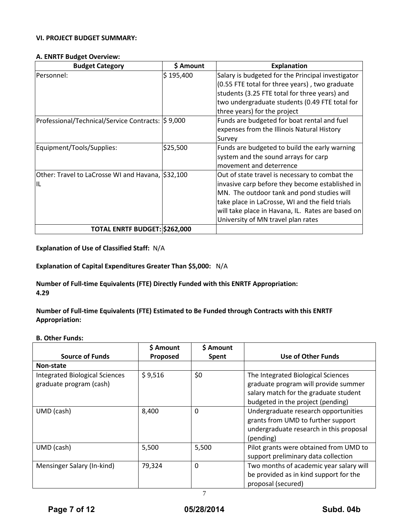# **VI. PROJECT BUDGET SUMMARY:**

#### **A. ENRTF Budget Overview:**

| <b>Budget Category</b>                                  | \$ Amount | <b>Explanation</b>                                                                                                                                                                                                                                                                            |
|---------------------------------------------------------|-----------|-----------------------------------------------------------------------------------------------------------------------------------------------------------------------------------------------------------------------------------------------------------------------------------------------|
| Personnel:                                              | \$195,400 | Salary is budgeted for the Principal investigator<br>(0.55 FTE total for three years), two graduate<br>students (3.25 FTE total for three years) and<br>two undergraduate students (0.49 FTE total for<br>three years) for the project                                                        |
| Professional/Technical/Service Contracts: \$9,000       |           | Funds are budgeted for boat rental and fuel<br>expenses from the Illinois Natural History<br>Survey                                                                                                                                                                                           |
| Equipment/Tools/Supplies:                               | \$25,500  | Funds are budgeted to build the early warning<br>system and the sound arrays for carp<br>movement and deterrence                                                                                                                                                                              |
| Other: Travel to LaCrosse WI and Havana, \$32,100<br>IL |           | Out of state travel is necessary to combat the<br>invasive carp before they become established in<br>MN. The outdoor tank and pond studies will<br>take place in LaCrosse, WI and the field trials<br>will take place in Havana, IL. Rates are based on<br>University of MN travel plan rates |
| TOTAL ENRTF BUDGET: \$262,000                           |           |                                                                                                                                                                                                                                                                                               |

**Explanation of Use of Classified Staff:** N/A

**Explanation of Capital Expenditures Greater Than \$5,000:** N/A

**Number of Full-time Equivalents (FTE) Directly Funded with this ENRTF Appropriation: 4.29**

**Number of Full-time Equivalents (FTE) Estimated to Be Funded through Contracts with this ENRTF Appropriation:**

#### **B. Other Funds:**

| <b>Source of Funds</b>                                           | \$ Amount<br>Proposed | \$ Amount<br><b>Spent</b> | <b>Use of Other Funds</b>                                                                                                                                |
|------------------------------------------------------------------|-----------------------|---------------------------|----------------------------------------------------------------------------------------------------------------------------------------------------------|
| Non-state                                                        |                       |                           |                                                                                                                                                          |
| <b>Integrated Biological Sciences</b><br>graduate program (cash) | \$9,516               | \$0                       | The Integrated Biological Sciences<br>graduate program will provide summer<br>salary match for the graduate student<br>budgeted in the project (pending) |
| UMD (cash)                                                       | 8,400                 | $\Omega$                  | Undergraduate research opportunities<br>grants from UMD to further support<br>undergraduate research in this proposal<br>(pending)                       |
| UMD (cash)                                                       | 5,500                 | 5,500                     | Pilot grants were obtained from UMD to<br>support preliminary data collection                                                                            |
| Mensinger Salary (In-kind)                                       | 79,324                | $\Omega$                  | Two months of academic year salary will<br>be provided as in kind support for the<br>proposal (secured)                                                  |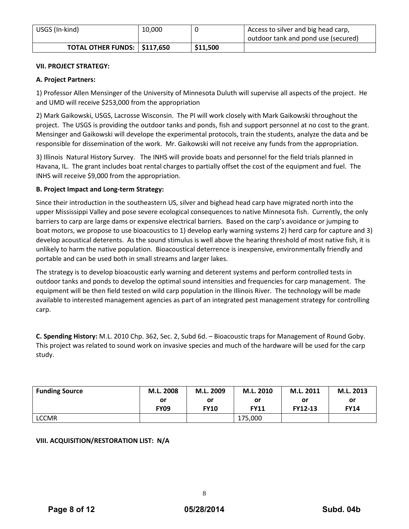| USGS (In-kind)                        | 10,000 |          | Access to silver and big head carp,<br>outdoor tank and pond use (secured) |
|---------------------------------------|--------|----------|----------------------------------------------------------------------------|
| <b>TOTAL OTHER FUNDS:   \$117,650</b> |        | \$11,500 |                                                                            |

# **VII. PROJECT STRATEGY:**

# **A. Project Partners:**

1) Professor Allen Mensinger of the University of Minnesota Duluth will supervise all aspects of the project. He and UMD will receive \$253,000 from the appropriation

2) Mark Gaikowski, USGS, Lacrosse Wisconsin. The PI will work closely with Mark Gaikowski throughout the project. The USGS is providing the outdoor tanks and ponds, fish and support personnel at no cost to the grant. Mensinger and Gaikowski will develope the experimental protocols, train the students, analyze the data and be responsible for dissemination of the work. Mr. Gaikowski will not receive any funds from the appropriation.

3) Illinois Natural History Survey. The INHS will provide boats and personnel for the field trials planned in Havana, IL. The grant includes boat rental charges to partially offset the cost of the equipment and fuel. The INHS will receive \$9,000 from the appropriation.

# **B. Project Impact and Long-term Strategy:**

Since their introduction in the southeastern US, silver and bighead head carp have migrated north into the upper Mississippi Valley and pose severe ecological consequences to native Minnesota fish. Currently, the only barriers to carp are large dams or expensive electrical barriers. Based on the carp's avoidance or jumping to boat motors, we propose to use bioacoustics to 1) develop early warning systems 2) herd carp for capture and 3) develop acoustical deterents. As the sound stimulus is well above the hearing threshold of most native fish, it is unlikely to harm the native population. Bioacoustical deterrence is inexpensive, environmentally friendly and portable and can be used both in small streams and larger lakes.

The strategy is to develop bioacoustic early warning and deterent systems and perform controlled tests in outdoor tanks and ponds to develop the optimal sound intensities and frequencies for carp management. The equipment will be then field tested on wild carp population in the Illinois River. The technology will be made available to interested management agencies as part of an integrated pest management strategy for controlling carp.

**C. Spending History:** M.L. 2010 Chp. 362, Sec. 2, Subd 6d. – Bioacoustic traps for Management of Round Goby. This project was related to sound work on invasive species and much of the hardware will be used for the carp study.

| <b>Funding Source</b> | M.L. 2008   | M.L. 2009   | M.L. 2010   | M.L. 2011      | M.L. 2013   |
|-----------------------|-------------|-------------|-------------|----------------|-------------|
|                       | .or         | or<br>or    |             | or             | or          |
|                       | <b>FY09</b> | <b>FY10</b> | <b>FY11</b> | <b>FY12-13</b> | <b>FY14</b> |
| <b>LCCMR</b>          |             |             | 175.000     |                |             |

# **VIII. ACQUISITION/RESTORATION LIST: N/A**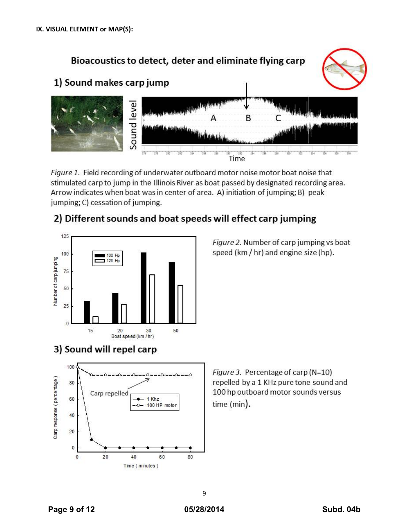

Figure 1. Field recording of underwater outboard motor noise motor boat noise that stimulated carp to jump in the Illinois River as boat passed by designated recording area. Arrow indicates when boat was in center of area. A) initiation of jumping; B) peak jumping; C) cessation of jumping.



2) Different sounds and boat speeds will effect carp jumping

# 3) Sound will repel carp



Figure 3. Percentage of carp (N=10) repelled by a 1 KHz pure tone sound and 100 hp outboard motor sounds versus time (min).

Figure 2. Number of carp jumping vs boat speed (km / hr) and engine size (hp).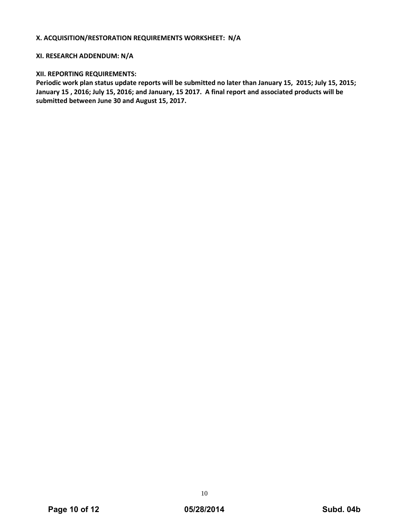#### **X. ACQUISITION/RESTORATION REQUIREMENTS WORKSHEET: N/A**

#### **XI. RESEARCH ADDENDUM: N/A**

#### **XII. REPORTING REQUIREMENTS:**

**Periodic work plan status update reports will be submitted no later than January 15, 2015; July 15, 2015; January 15 , 2016; July 15, 2016; and January, 15 2017. A final report and associated products will be submitted between June 30 and August 15, 2017.**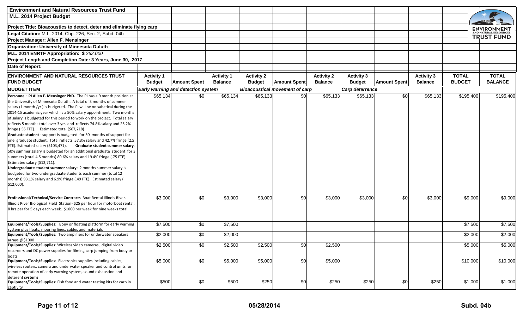| <b>Environment and Natural Resources Trust Fund</b>                                                                                                                                                                                                                                                                                                                                                                                                                                                                                                                                                                                                                                                                                                                                                                                                                                                                                                                                                                                                                                                                                          |                   |                                           |                   |                   |                                       |                   |                   |                     |                   |               |                   |  |
|----------------------------------------------------------------------------------------------------------------------------------------------------------------------------------------------------------------------------------------------------------------------------------------------------------------------------------------------------------------------------------------------------------------------------------------------------------------------------------------------------------------------------------------------------------------------------------------------------------------------------------------------------------------------------------------------------------------------------------------------------------------------------------------------------------------------------------------------------------------------------------------------------------------------------------------------------------------------------------------------------------------------------------------------------------------------------------------------------------------------------------------------|-------------------|-------------------------------------------|-------------------|-------------------|---------------------------------------|-------------------|-------------------|---------------------|-------------------|---------------|-------------------|--|
| M.L. 2014 Project Budget                                                                                                                                                                                                                                                                                                                                                                                                                                                                                                                                                                                                                                                                                                                                                                                                                                                                                                                                                                                                                                                                                                                     |                   |                                           |                   |                   |                                       |                   |                   |                     |                   |               |                   |  |
| Project Title: Bioacoustics to detect, deter and eliminate flying carp                                                                                                                                                                                                                                                                                                                                                                                                                                                                                                                                                                                                                                                                                                                                                                                                                                                                                                                                                                                                                                                                       |                   |                                           |                   |                   |                                       |                   |                   |                     |                   |               | ENVIRONMENT       |  |
| Legal Citation: M.L. 2014, Chp. 226, Sec. 2, Subd. 04b                                                                                                                                                                                                                                                                                                                                                                                                                                                                                                                                                                                                                                                                                                                                                                                                                                                                                                                                                                                                                                                                                       |                   |                                           |                   |                   |                                       |                   |                   |                     |                   |               | <b>TRUST FUND</b> |  |
| Project Manager: Allen F. Mensinger                                                                                                                                                                                                                                                                                                                                                                                                                                                                                                                                                                                                                                                                                                                                                                                                                                                                                                                                                                                                                                                                                                          |                   |                                           |                   |                   |                                       |                   |                   |                     |                   |               |                   |  |
| <b>Organization: University of Minnesota Duluth</b>                                                                                                                                                                                                                                                                                                                                                                                                                                                                                                                                                                                                                                                                                                                                                                                                                                                                                                                                                                                                                                                                                          |                   |                                           |                   |                   |                                       |                   |                   |                     |                   |               |                   |  |
| M.L. 2014 ENRTF Appropriation: \$262,000                                                                                                                                                                                                                                                                                                                                                                                                                                                                                                                                                                                                                                                                                                                                                                                                                                                                                                                                                                                                                                                                                                     |                   |                                           |                   |                   |                                       |                   |                   |                     |                   |               |                   |  |
| Project Length and Completion Date: 3 Years, June 30, 2017                                                                                                                                                                                                                                                                                                                                                                                                                                                                                                                                                                                                                                                                                                                                                                                                                                                                                                                                                                                                                                                                                   |                   |                                           |                   |                   |                                       |                   |                   |                     |                   |               |                   |  |
| Date of Report:                                                                                                                                                                                                                                                                                                                                                                                                                                                                                                                                                                                                                                                                                                                                                                                                                                                                                                                                                                                                                                                                                                                              |                   |                                           |                   |                   |                                       |                   |                   |                     |                   |               |                   |  |
| <b>ENVIRONMENT AND NATURAL RESOURCES TRUST</b>                                                                                                                                                                                                                                                                                                                                                                                                                                                                                                                                                                                                                                                                                                                                                                                                                                                                                                                                                                                                                                                                                               | <b>Activity 1</b> |                                           | <b>Activity 1</b> | <b>Activity 2</b> |                                       | <b>Activity 2</b> | <b>Activity 3</b> |                     | <b>Activity 3</b> | <b>TOTAL</b>  | <b>TOTAL</b>      |  |
| <b>FUND BUDGET</b>                                                                                                                                                                                                                                                                                                                                                                                                                                                                                                                                                                                                                                                                                                                                                                                                                                                                                                                                                                                                                                                                                                                           | <b>Budget</b>     | <b>Amount Spent</b>                       | <b>Balance</b>    | <b>Budget</b>     | <b>Amount Spent</b>                   | <b>Balance</b>    | <b>Budget</b>     | <b>Amount Spent</b> | <b>Balance</b>    | <b>BUDGET</b> | <b>BALANCE</b>    |  |
| <b>BUDGET ITEM</b>                                                                                                                                                                                                                                                                                                                                                                                                                                                                                                                                                                                                                                                                                                                                                                                                                                                                                                                                                                                                                                                                                                                           |                   | <b>Early warning and detection system</b> |                   |                   | <b>Bioacoustical movement of carp</b> |                   | Carp deterrence   |                     |                   |               |                   |  |
|                                                                                                                                                                                                                                                                                                                                                                                                                                                                                                                                                                                                                                                                                                                                                                                                                                                                                                                                                                                                                                                                                                                                              |                   |                                           |                   |                   |                                       |                   |                   |                     |                   |               |                   |  |
| Personnel: PI Allen F. Mensinger PhD. The PI has a 9 month position at<br>the University of Minnesota Duluth. A total of 3 months of summer<br>salary (1 month /yr) is budgeted. The PI will be on sabatical during the<br>2014-15 academic year which is a 50% salary appointment. Two months<br>of salary is budgeted for this period to work on the project. Total salary<br>reflects 5 months total over 3 yrs and reflects 74.8% salary and 25.2%<br>fringe (.55 FTE). Estimated total (\$67,218)<br>Graduate student - support is budgeted for 30 months of support for<br>one graduate student. Total reflects 57.3% salary and 42.7% fringe (2.5<br>FTE). Estimated salary (\$103,471).<br>Graduate student summer salary.<br>50% summer salary is budgeted for an additional graduate student for 3<br>summers (total 4.5 months) 80.6% salary and 19.4% fringe (.75 FTE).<br>Estimated salary (\$12,711).<br>Undergraduate student summer salary: 2 months summer salary is<br>budgeted for two undergraduate students each summer (total 12<br>months) 93.1% salary and 6.9% fringe (.49 FTE). Estimated salary (<br>$$12,000$ ). | \$65,134          | \$0                                       | \$65,134          | \$65,133          | \$0                                   | \$65,133          | \$65,133          | \$0                 | \$65,133          | \$195,400     | \$195,400         |  |
| Professional/Technical/Service Contracts Boat Rental Illinois River.<br>Illinois River Biological Field Station- \$25 per hour for motorboat rental.<br>8 hrs per for 5 days each week. \$1000 per week for nine weeks total                                                                                                                                                                                                                                                                                                                                                                                                                                                                                                                                                                                                                                                                                                                                                                                                                                                                                                                 | \$3,000           | \$0                                       | \$3,000           | \$3,000           | \$0                                   | \$3,000           | \$3,000           | \$0                 | \$3,000           | \$9,000       | \$9,000           |  |
| Equipment/Tools/Supplies: Bouy or floating platform for early warning                                                                                                                                                                                                                                                                                                                                                                                                                                                                                                                                                                                                                                                                                                                                                                                                                                                                                                                                                                                                                                                                        | \$7,500           | \$0                                       | \$7,500           |                   |                                       |                   |                   |                     |                   | \$7,500       | \$7,500           |  |
| system plus floats, mooring lines, cables and materials<br>Equipment/Tools/Supplies: Two amplifiers for underwater speakers                                                                                                                                                                                                                                                                                                                                                                                                                                                                                                                                                                                                                                                                                                                                                                                                                                                                                                                                                                                                                  | \$2,000           | \$0                                       | \$2,000           |                   |                                       |                   |                   |                     |                   | \$2,000       | \$2,000           |  |
| arrays @\$1000                                                                                                                                                                                                                                                                                                                                                                                                                                                                                                                                                                                                                                                                                                                                                                                                                                                                                                                                                                                                                                                                                                                               |                   |                                           |                   |                   |                                       |                   |                   |                     |                   |               |                   |  |
| Equipment/Tools/Supplies: Wireless video cameras, digital video<br>recorders and DC power supplies for filming carp jumping from bouy or                                                                                                                                                                                                                                                                                                                                                                                                                                                                                                                                                                                                                                                                                                                                                                                                                                                                                                                                                                                                     | \$2,500           | \$0                                       | \$2,500           | \$2,500           | \$0                                   | \$2,500           |                   |                     |                   | \$5,000       | \$5,000           |  |
| <u>boats</u><br>Equipment/Tools/Supplies: Electronics supplies including cables,<br>wireless routers, camera and underwater speaker and control units for<br>remote operation of early warning system, sound exhaustion and<br>deterent systems                                                                                                                                                                                                                                                                                                                                                                                                                                                                                                                                                                                                                                                                                                                                                                                                                                                                                              | \$5,000           | \$0                                       | \$5,000           | \$5,000           | \$0                                   | \$5,000           |                   |                     |                   | \$10,000      | \$10,000          |  |
| Equipment/Tools/Supplies: Fish food and water testing kits for carp in<br>captivity                                                                                                                                                                                                                                                                                                                                                                                                                                                                                                                                                                                                                                                                                                                                                                                                                                                                                                                                                                                                                                                          | \$500             | \$0                                       | \$500             | \$250             | \$0                                   | \$250             | \$250             | \$0                 | \$250             | \$1,000       | \$1,000           |  |